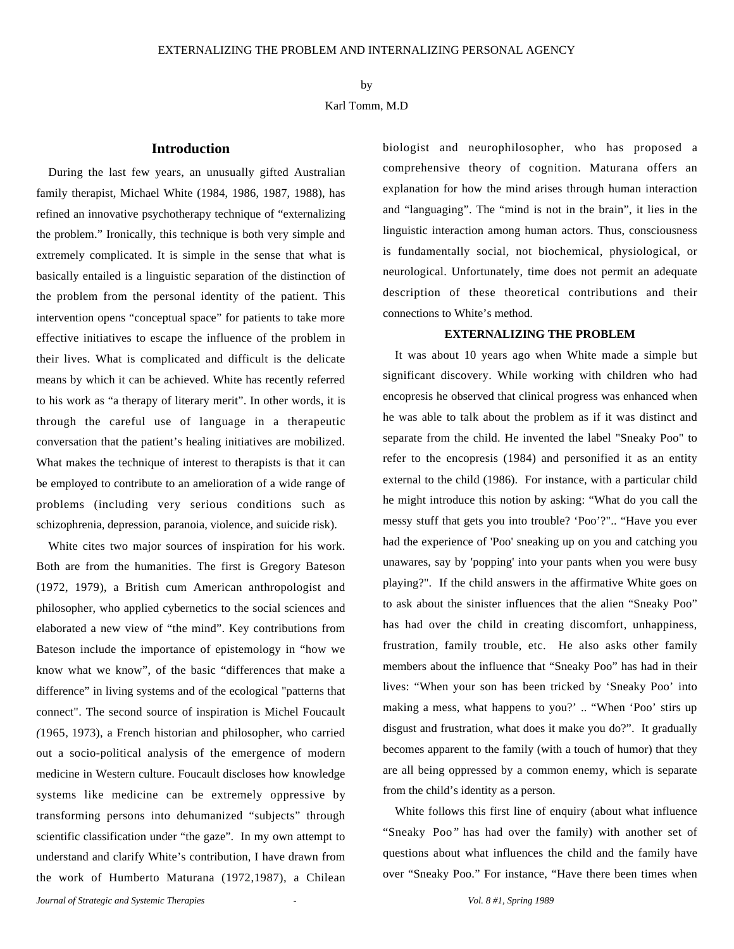# by Karl Tomm, M.D

### **Introduction**

During the last few years, an unusually gifted Australian family therapist, Michael White (1984, 1986, 1987, 1988), has refined an innovative psychotherapy technique of "externalizing the problem." Ironically, this technique is both very simple and extremely complicated. It is simple in the sense that what is basically entailed is a linguistic separation of the distinction of the problem from the personal identity of the patient. This intervention opens "conceptual space" for patients to take more effective initiatives to escape the influence of the problem in their lives. What is complicated and difficult is the delicate means by which it can be achieved. White has recently referred to his work as "a therapy of literary merit". In other words, it is through the careful use of language in a therapeutic conversation that the patient's healing initiatives are mobilized. What makes the technique of interest to therapists is that it can be employed to contribute to an amelioration of a wide range of problems (including very serious conditions such as schizophrenia, depression, paranoia, violence, and suicide risk).

White cites two major sources of inspiration for his work. Both are from the humanities. The first is Gregory Bateson (1972, 1979), a British cum American anthropologist and philosopher, who applied cybernetics to the social sciences and elaborated a new view of "the mind". Key contributions from Bateson include the importance of epistemology in "how we know what we know", of the basic "differences that make a difference" in living systems and of the ecological "patterns that connect". The second source of inspiration is Michel Foucault *(*1965*,* 1973), a French historian and philosopher, who carried out a socio-political analysis of the emergence of modern medicine in Western culture. Foucault discloses how knowledge systems like medicine can be extremely oppressive by transforming persons into dehumanized "subjects" through scientific classification under "the gaze". In my own attempt to understand and clarify White's contribution, I have drawn from the work of Humberto Maturana (1972,1987), a Chilean biologist and neurophilosopher, who has proposed a comprehensive theory of cognition. Maturana offers an explanation for how the mind arises through human interaction and "languaging". The "mind is not in the brain", it lies in the linguistic interaction among human actors. Thus, consciousness is fundamentally social, not biochemical, physiological, or neurological. Unfortunately, time does not permit an adequate description of these theoretical contributions and their connections to White's method.

## **EXTERNALIZING THE PROBLEM**

It was about 10 years ago when White made a simple but significant discovery. While working with children who had encopresis he observed that clinical progress was enhanced when he was able to talk about the problem as if it was distinct and separate from the child. He invented the label "Sneaky Poo" to refer to the encopresis (1984) and personified it as an entity external to the child (1986). For instance, with a particular child he might introduce this notion by asking: "What do you call the messy stuff that gets you into trouble? 'Poo'?".. "Have you ever had the experience of 'Poo' sneaking up on you and catching you unawares, say by 'popping' into your pants when you were busy playing?". If the child answers in the affirmative White goes on to ask about the sinister influences that the alien "Sneaky Poo" has had over the child in creating discomfort, unhappiness, frustration, family trouble, etc. He also asks other family members about the influence that "Sneaky Poo" has had in their lives: "When your son has been tricked by 'Sneaky Poo' into making a mess, what happens to you?' .. "When 'Poo' stirs up disgust and frustration, what does it make you do?". It gradually becomes apparent to the family (with a touch of humor) that they are all being oppressed by a common enemy, which is separate from the child's identity as a person.

White follows this first line of enquiry (about what influence "Sneaky Poo*"* has had over the family) with another set of questions about what influences the child and the family have over "Sneaky Poo." For instance, "Have there been times when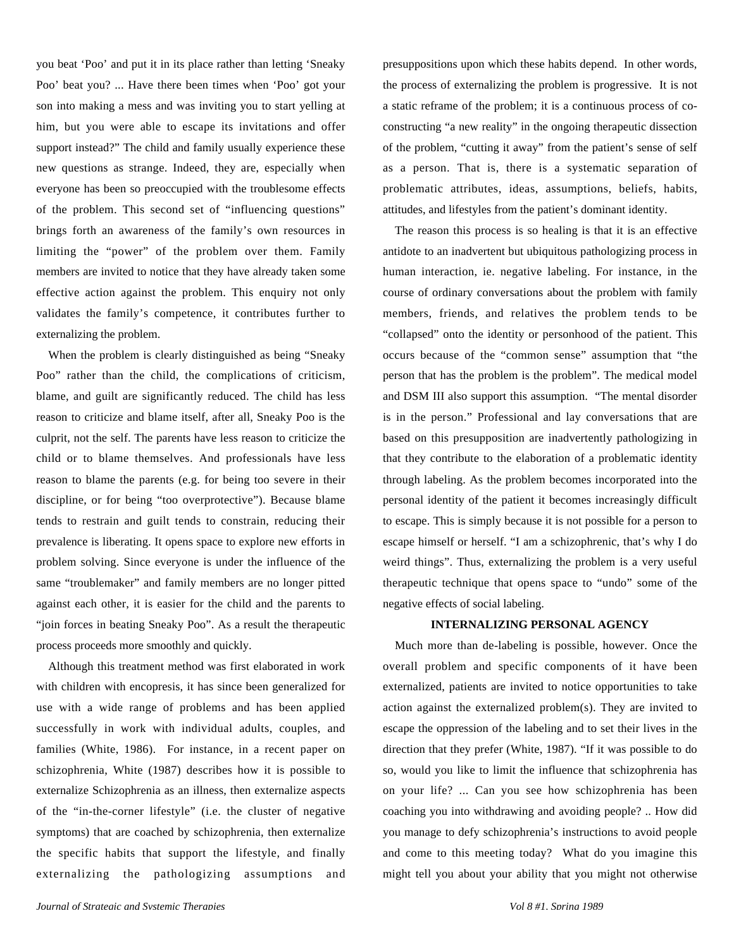you beat 'Poo' and put it in its place rather than letting 'Sneaky Poo' beat you? ... Have there been times when 'Poo' got your son into making a mess and was inviting you to start yelling at him, but you were able to escape its invitations and offer support instead?" The child and family usually experience these new questions as strange. Indeed, they are, especially when everyone has been so preoccupied with the troublesome effects of the problem. This second set of "influencing questions" brings forth an awareness of the family's own resources in limiting the "power" of the problem over them. Family members are invited to notice that they have already taken some effective action against the problem. This enquiry not only validates the family's competence, it contributes further to externalizing the problem.

When the problem is clearly distinguished as being "Sneaky Poo" rather than the child, the complications of criticism, blame, and guilt are significantly reduced. The child has less reason to criticize and blame itself, after all, Sneaky Poo is the culprit, not the self. The parents have less reason to criticize the child or to blame themselves. And professionals have less reason to blame the parents (e.g. for being too severe in their discipline, or for being "too overprotective"). Because blame tends to restrain and guilt tends to constrain, reducing their prevalence is liberating. It opens space to explore new efforts in problem solving. Since everyone is under the influence of the same "troublemaker" and family members are no longer pitted against each other, it is easier for the child and the parents to "join forces in beating Sneaky Poo". As a result the therapeutic process proceeds more smoothly and quickly.

Although this treatment method was first elaborated in work with children with encopresis, it has since been generalized for use with a wide range of problems and has been applied successfully in work with individual adults, couples, and families (White, 1986). For instance, in a recent paper on schizophrenia, White (1987) describes how it is possible to externalize Schizophrenia as an illness, then externalize aspects of the "in-the-corner lifestyle" (i.e. the cluster of negative symptoms) that are coached by schizophrenia, then externalize the specific habits that support the lifestyle, and finally externalizing the pathologizing assumptions and presuppositions upon which these habits depend. In other words, the process of externalizing the problem is progressive. It is not a static reframe of the problem; it is a continuous process of coconstructing "a new reality" in the ongoing therapeutic dissection of the problem, "cutting it away" from the patient's sense of self as a person. That is, there is a systematic separation of problematic attributes, ideas, assumptions, beliefs, habits, attitudes, and lifestyles from the patient's dominant identity.

The reason this process is so healing is that it is an effective antidote to an inadvertent but ubiquitous pathologizing process in human interaction, ie. negative labeling. For instance, in the course of ordinary conversations about the problem with family members, friends, and relatives the problem tends to be "collapsed" onto the identity or personhood of the patient. This occurs because of the "common sense" assumption that "the person that has the problem is the problem". The medical model and DSM III also support this assumption. "The mental disorder is in the person." Professional and lay conversations that are based on this presupposition are inadvertently pathologizing in that they contribute to the elaboration of a problematic identity through labeling. As the problem becomes incorporated into the personal identity of the patient it becomes increasingly difficult to escape. This is simply because it is not possible for a person to escape himself or herself. "I am a schizophrenic, that's why I do weird things". Thus, externalizing the problem is a very useful therapeutic technique that opens space to "undo" some of the negative effects of social labeling.

### **INTERNALIZING PERSONAL AGENCY**

Much more than de-labeling is possible, however. Once the overall problem and specific components of it have been externalized, patients are invited to notice opportunities to take action against the externalized problem(s). They are invited to escape the oppression of the labeling and to set their lives in the direction that they prefer (White, 1987). "If it was possible to do so, would you like to limit the influence that schizophrenia has on your life? ... Can you see how schizophrenia has been coaching you into withdrawing and avoiding people? .. How did you manage to defy schizophrenia's instructions to avoid people and come to this meeting today? What do you imagine this might tell you about your ability that you might not otherwise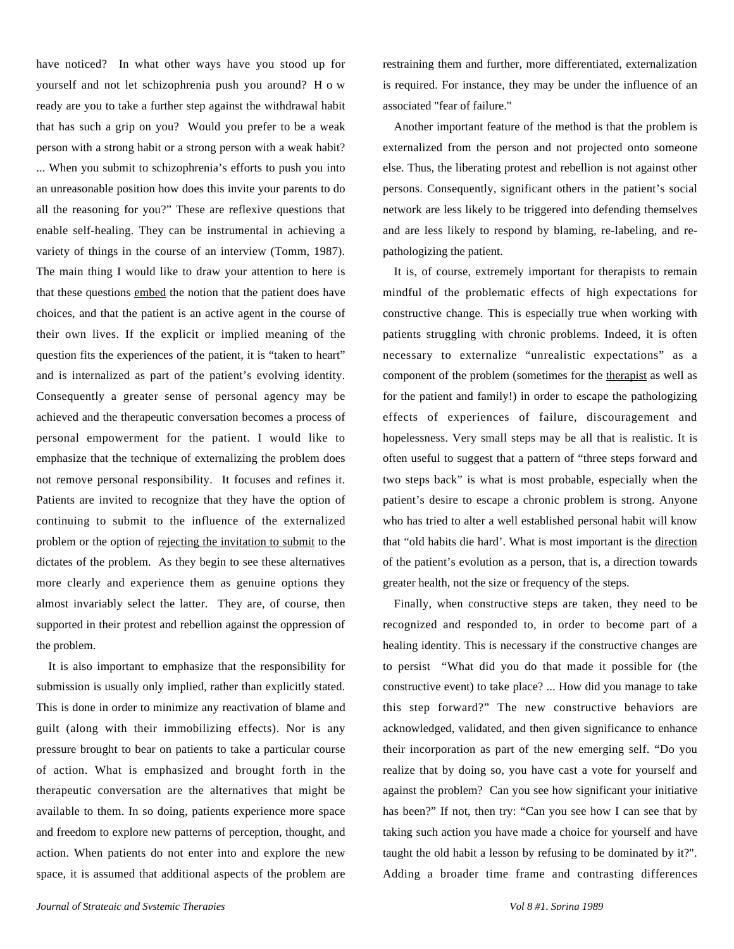have noticed? In what other ways have you stood up for yourself and not let schizophrenia push you around? How ready are you to take a further step against the withdrawal habit that has such a grip on you? Would you prefer to be a weak person with a strong habit or a strong person with a weak habit? ... When you submit to schizophrenia's efforts to push you into an unreasonable position how does this invite your parents to do all the reasoning for you?" These are reflexive questions that enable self-healing. They can be instrumental in achieving a variety of things in the course of an interview (Tomm, 1987). The main thing I would like to draw your attention to here is that these questions embed the notion that the patient does have choices, and that the patient is an active agent in the course of their own lives. If the explicit or implied meaning of the question fits the experiences of the patient, it is "taken to heart" and is internalized as part of the patient's evolving identity. Consequently a greater sense of personal agency may be achieved and the therapeutic conversation becomes a process of personal empowerment for the patient. I would like to emphasize that the technique of externalizing the problem does not remove personal responsibility. It focuses and refines it. Patients are invited to recognize that they have the option of continuing to submit to the influence of the externalized problem or the option of rejecting the invitation to submit to the dictates of the problem. As they begin to see these alternatives more clearly and experience them as genuine options they almost invariably select the latter. They are, of course, then supported in their protest and rebellion against the oppression of the problem.

It is also important to emphasize that the responsibility for submission is usually only implied, rather than explicitly stated. This is done in order to minimize any reactivation of blame and guilt (along with their immobilizing effects). Nor is any pressure brought to bear on patients to take a particular course of action. What is emphasized and brought forth in the therapeutic conversation are the alternatives that might be available to them. In so doing, patients experience more space and freedom to explore new patterns of perception, thought, and action. When patients do not enter into and explore the new space, it is assumed that additional aspects of the problem are restraining them and further, more differentiated, externalization is required. For instance, they may be under the influence of an associated "fear of failure."

Another important feature of the method is that the problem is externalized from the person and not projected onto someone else. Thus, the liberating protest and rebellion is not against other persons. Consequently, significant others in the patient's social network are less likely to be triggered into defending themselves and are less likely to respond by blaming, re-labeling, and repathologizing the patient.

It is, of course, extremely important for therapists to remain mindful of the problematic effects of high expectations for constructive change. This is especially true when working with patients struggling with chronic problems. Indeed, it is often necessary to externalize "unrealistic expectations" as a component of the problem (sometimes for the therapist as well as for the patient and family!) in order to escape the pathologizing effects of experiences of failure, discouragement and hopelessness. Very small steps may be all that is realistic. It is often useful to suggest that a pattern of "three steps forward and two steps back" is what is most probable, especially when the patient's desire to escape a chronic problem is strong. Anyone who has tried to alter a well established personal habit will know that "old habits die hard'. What is most important is the direction of the patient's evolution as a person, that is, a direction towards greater health, not the size or frequency of the steps.

Finally, when constructive steps are taken, they need to be recognized and responded to, in order to become part of a healing identity. This is necessary if the constructive changes are to persist "What did you do that made it possible for (the constructive event) to take place? ... How did you manage to take this step forward?" The new constructive behaviors are acknowledged, validated, and then given significance to enhance their incorporation as part of the new emerging self. "Do you realize that by doing so, you have cast a vote for yourself and against the problem? Can you see how significant your initiative has been?" If not, then try: "Can you see how I can see that by taking such action you have made a choice for yourself and have taught the old habit a lesson by refusing to be dominated by it?". Adding a broader time frame and contrasting differences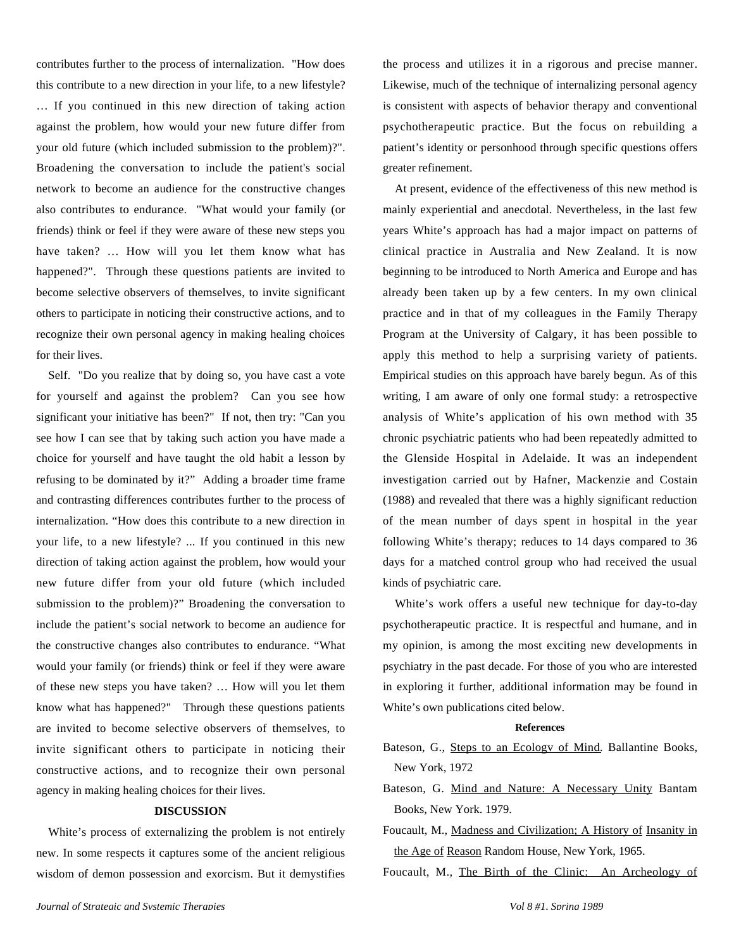contributes further to the process of internalization. "How does this contribute to a new direction in your life, to a new lifestyle? … If you continued in this new direction of taking action against the problem, how would your new future differ from your old future (which included submission to the problem)?". Broadening the conversation to include the patient's social network to become an audience for the constructive changes also contributes to endurance. "What would your family (or friends) think or feel if they were aware of these new steps you have taken? … How will you let them know what has happened?". Through these questions patients are invited to become selective observers of themselves, to invite significant others to participate in noticing their constructive actions, and to recognize their own personal agency in making healing choices for their lives.

Self. "Do you realize that by doing so, you have cast a vote for yourself and against the problem? Can you see how significant your initiative has been?" If not, then try: "Can you see how I can see that by taking such action you have made a choice for yourself and have taught the old habit a lesson by refusing to be dominated by it?" Adding a broader time frame and contrasting differences contributes further to the process of internalization. "How does this contribute to a new direction in your life, to a new lifestyle? ... If you continued in this new direction of taking action against the problem, how would your new future differ from your old future (which included submission to the problem)?" Broadening the conversation to include the patient's social network to become an audience for the constructive changes also contributes to endurance. "What would your family (or friends) think or feel if they were aware of these new steps you have taken? … How will you let them know what has happened?" Through these questions patients are invited to become selective observers of themselves, to invite significant others to participate in noticing their constructive actions, and to recognize their own personal agency in making healing choices for their lives.

# **DISCUSSION**

White's process of externalizing the problem is not entirely new. In some respects it captures some of the ancient religious wisdom of demon possession and exorcism. But it demystifies the process and utilizes it in a rigorous and precise manner. Likewise, much of the technique of internalizing personal agency is consistent with aspects of behavior therapy and conventional psychotherapeutic practice. But the focus on rebuilding a patient's identity or personhood through specific questions offers greater refinement.

At present, evidence of the effectiveness of this new method is mainly experiential and anecdotal. Nevertheless, in the last few years White's approach has had a major impact on patterns of clinical practice in Australia and New Zealand. It is now beginning to be introduced to North America and Europe and has already been taken up by a few centers. In my own clinical practice and in that of my colleagues in the Family Therapy Program at the University of Calgary, it has been possible to apply this method to help a surprising variety of patients. Empirical studies on this approach have barely begun. As of this writing, I am aware of only one formal study: a retrospective analysis of White's application of his own method with 35 chronic psychiatric patients who had been repeatedly admitted to the Glenside Hospital in Adelaide. It was an independent investigation carried out by Hafner, Mackenzie and Costain (1988) and revealed that there was a highly significant reduction of the mean number of days spent in hospital in the year following White's therapy; reduces to 14 days compared to 36 days for a matched control group who had received the usual kinds of psychiatric care.

White's work offers a useful new technique for day-to-day psychotherapeutic practice. It is respectful and humane, and in my opinion, is among the most exciting new developments in psychiatry in the past decade. For those of you who are interested in exploring it further, additional information may be found in White's own publications cited below.

#### **References**

- Bateson, G., Steps to an Ecologv of Mind. Ballantine Books, New York, 1972
- Bateson, G. Mind and Nature: A Necessary Unity Bantam Books, New York. 1979.
- Foucault, M., Madness and Civilization; A History of Insanity in the Age of Reason Random House, New York, 1965.
- Foucault, M., The Birth of the Clinic: An Archeology of